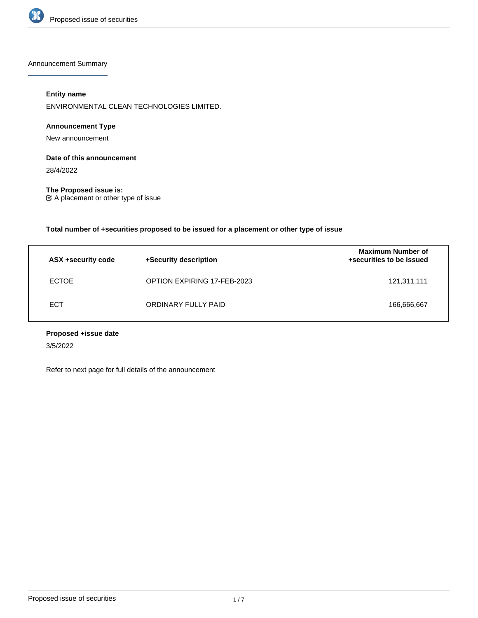

Announcement Summary

# **Entity name**

ENVIRONMENTAL CLEAN TECHNOLOGIES LIMITED.

# **Announcement Type**

New announcement

# **Date of this announcement**

28/4/2022

**The Proposed issue is:** A placement or other type of issue

**Total number of +securities proposed to be issued for a placement or other type of issue**

| ASX +security code | +Security description       | <b>Maximum Number of</b><br>+securities to be issued |
|--------------------|-----------------------------|------------------------------------------------------|
| <b>ECTOE</b>       | OPTION EXPIRING 17-FEB-2023 | 121,311,111                                          |
| <b>ECT</b>         | ORDINARY FULLY PAID         | 166,666,667                                          |

# **Proposed +issue date**

3/5/2022

Refer to next page for full details of the announcement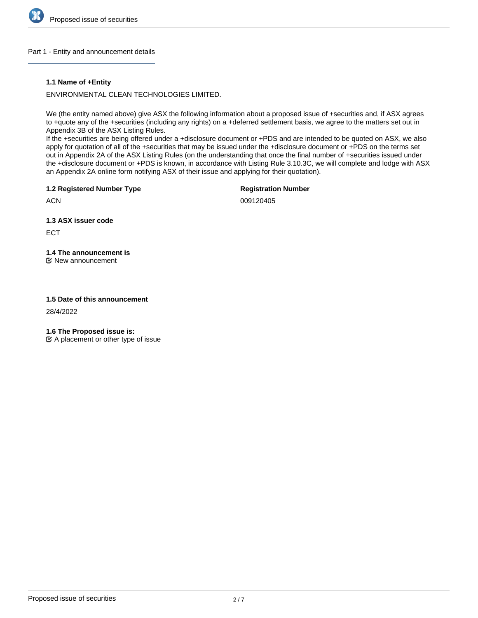

### Part 1 - Entity and announcement details

### **1.1 Name of +Entity**

ENVIRONMENTAL CLEAN TECHNOLOGIES LIMITED.

We (the entity named above) give ASX the following information about a proposed issue of +securities and, if ASX agrees to +quote any of the +securities (including any rights) on a +deferred settlement basis, we agree to the matters set out in Appendix 3B of the ASX Listing Rules.

If the +securities are being offered under a +disclosure document or +PDS and are intended to be quoted on ASX, we also apply for quotation of all of the +securities that may be issued under the +disclosure document or +PDS on the terms set out in Appendix 2A of the ASX Listing Rules (on the understanding that once the final number of +securities issued under the +disclosure document or +PDS is known, in accordance with Listing Rule 3.10.3C, we will complete and lodge with ASX an Appendix 2A online form notifying ASX of their issue and applying for their quotation).

**1.2 Registered Number Type**

**Registration Number**

**ACN** 

009120405

**1.3 ASX issuer code**

ECT

# **1.4 The announcement is**

New announcement

# **1.5 Date of this announcement**

28/4/2022

**1.6 The Proposed issue is:**

 $\mathfrak{C}$  A placement or other type of issue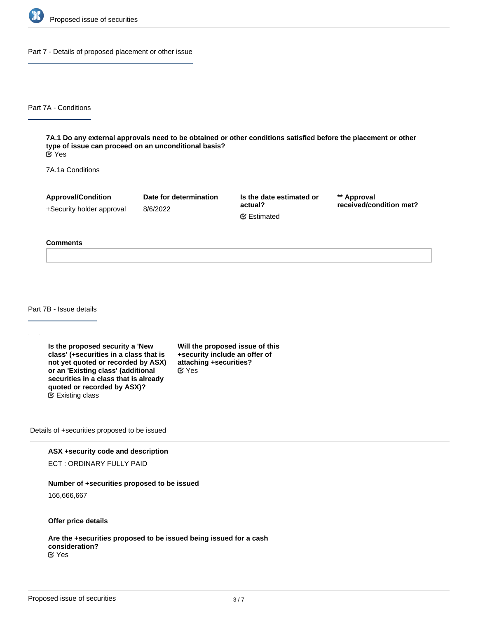

Part 7 - Details of proposed placement or other issue

Part 7A - Conditions

**7A.1 Do any external approvals need to be obtained or other conditions satisfied before the placement or other type of issue can proceed on an unconditional basis?** Yes

7A.1a Conditions

**Approval/Condition** +Security holder approval

8/6/2022

**Date for determination**

**Is the date estimated or actual?** Estimated

**\*\* Approval received/condition met?**

#### **Comments**

Part 7B - Issue details

**Is the proposed security a 'New class' (+securities in a class that is not yet quoted or recorded by ASX) or an 'Existing class' (additional securities in a class that is already quoted or recorded by ASX)?** Existing class

**Will the proposed issue of this +security include an offer of attaching +securities?** Yes

Details of +securities proposed to be issued

**ASX +security code and description**

ECT : ORDINARY FULLY PAID

### **Number of +securities proposed to be issued**

166,666,667

**Offer price details**

**Are the +securities proposed to be issued being issued for a cash consideration?** Yes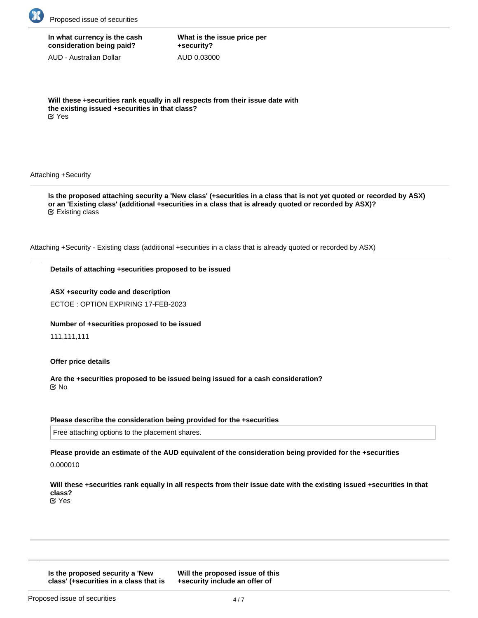

# **In what currency is the cash consideration being paid?**

AUD - Australian Dollar

**What is the issue price per +security?** AUD 0.03000

**Will these +securities rank equally in all respects from their issue date with the existing issued +securities in that class?** Yes

### Attaching +Security

**Is the proposed attaching security a 'New class' (+securities in a class that is not yet quoted or recorded by ASX) or an 'Existing class' (additional +securities in a class that is already quoted or recorded by ASX)?** Existing class

Attaching +Security - Existing class (additional +securities in a class that is already quoted or recorded by ASX)

### **Details of attaching +securities proposed to be issued**

**ASX +security code and description** ECTOE : OPTION EXPIRING 17-FEB-2023

**Number of +securities proposed to be issued**

111,111,111

**Offer price details**

**Are the +securities proposed to be issued being issued for a cash consideration?** No

### **Please describe the consideration being provided for the +securities**

Free attaching options to the placement shares.

**Please provide an estimate of the AUD equivalent of the consideration being provided for the +securities**

0.000010

**Will these +securities rank equally in all respects from their issue date with the existing issued +securities in that class?** Yes

**Is the proposed security a 'New class' (+securities in a class that is not yet quoted or recorded by ASX)** **Will the proposed issue of this +security include an offer of**

**attaching +securities?**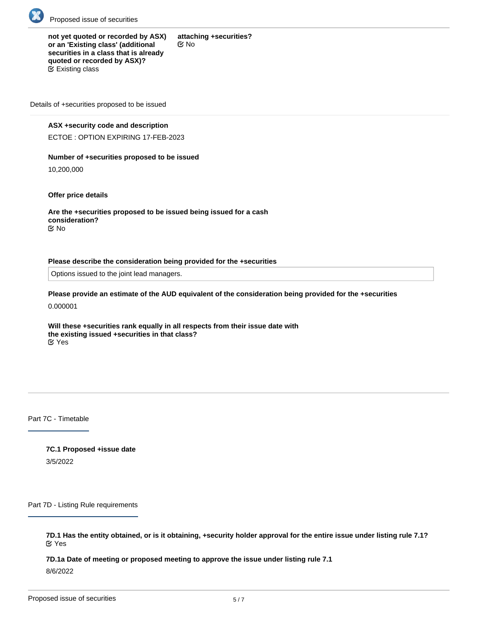

**not yet quoted or recorded by ASX) or an 'Existing class' (additional securities in a class that is already quoted or recorded by ASX)? attaching +securities?** No  $E$  Existing class

Details of +securities proposed to be issued

### **ASX +security code and description**

ECTOE : OPTION EXPIRING 17-FEB-2023

### **Number of +securities proposed to be issued**

10,200,000

**Offer price details**

**Are the +securities proposed to be issued being issued for a cash consideration?** No

### **Please describe the consideration being provided for the +securities**

Options issued to the joint lead managers.

**Please provide an estimate of the AUD equivalent of the consideration being provided for the +securities**

0.000001

**Will these +securities rank equally in all respects from their issue date with the existing issued +securities in that class?** Yes

Part 7C - Timetable

**7C.1 Proposed +issue date** 3/5/2022

Part 7D - Listing Rule requirements

**7D.1 Has the entity obtained, or is it obtaining, +security holder approval for the entire issue under listing rule 7.1?** Yes

**7D.1a Date of meeting or proposed meeting to approve the issue under listing rule 7.1** 8/6/2022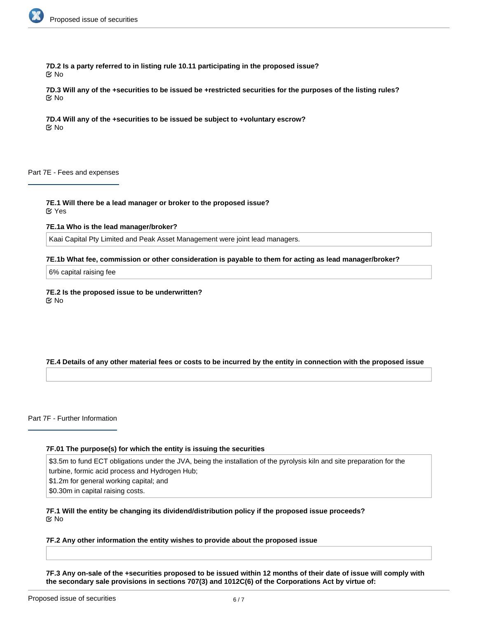

**7D.2 Is a party referred to in listing rule 10.11 participating in the proposed issue?** No

**7D.3 Will any of the +securities to be issued be +restricted securities for the purposes of the listing rules?** No

**7D.4 Will any of the +securities to be issued be subject to +voluntary escrow?** No

Part 7E - Fees and expenses

**7E.1 Will there be a lead manager or broker to the proposed issue?** Yes

**7E.1a Who is the lead manager/broker?**

Kaai Capital Pty Limited and Peak Asset Management were joint lead managers.

**7E.1b What fee, commission or other consideration is payable to them for acting as lead manager/broker?**

6% capital raising fee

**7E.2 Is the proposed issue to be underwritten?** No

### **7E.4 Details of any other material fees or costs to be incurred by the entity in connection with the proposed issue**

Part 7F - Further Information

### **7F.01 The purpose(s) for which the entity is issuing the securities**

\$3.5m to fund ECT obligations under the JVA, being the installation of the pyrolysis kiln and site preparation for the turbine, formic acid process and Hydrogen Hub;

\$1.2m for general working capital; and

\$0.30m in capital raising costs.

**7F.1 Will the entity be changing its dividend/distribution policy if the proposed issue proceeds?** No

### **7F.2 Any other information the entity wishes to provide about the proposed issue**

**7F.3 Any on-sale of the +securities proposed to be issued within 12 months of their date of issue will comply with the secondary sale provisions in sections 707(3) and 1012C(6) of the Corporations Act by virtue of:**